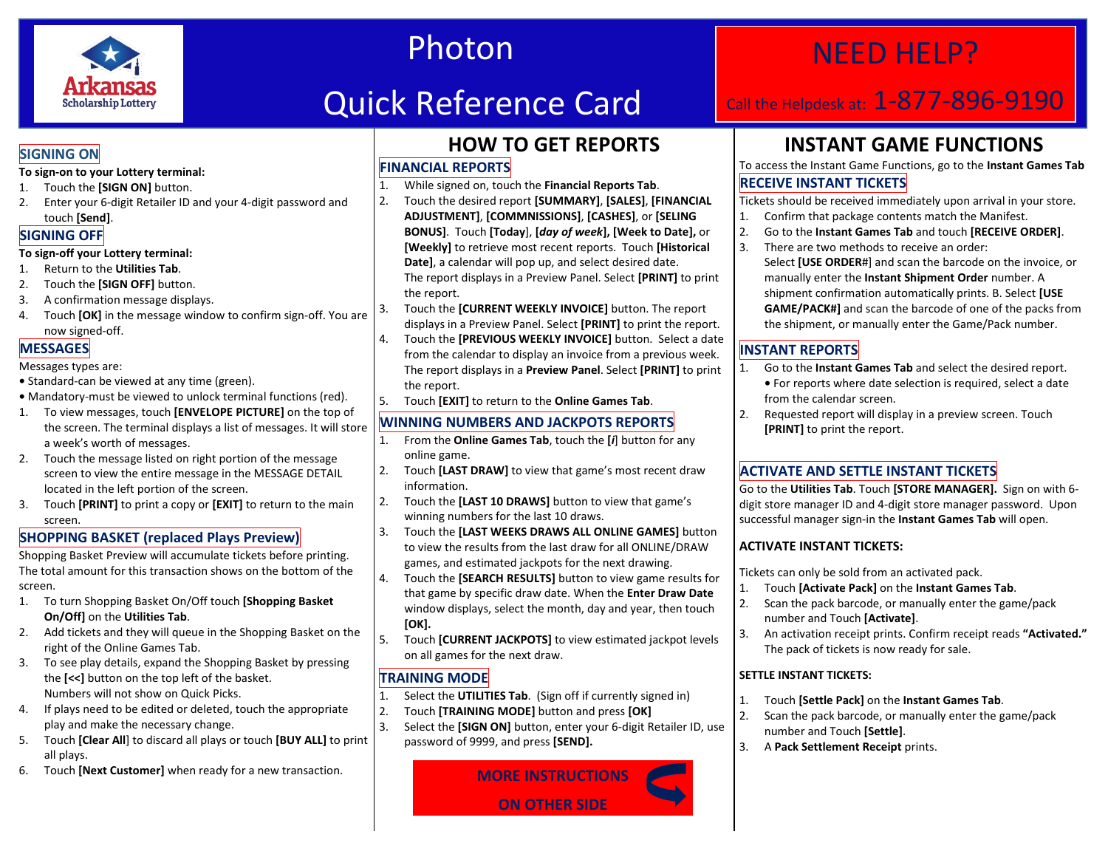

# Photon

# Quick Reference Card

## NEED HELP?

## Call the Helpdesk at: 1-877-896-9190

### **SIGNING ON**

### **To sign-on to your Lottery terminal:**

- 1. Touch the **[SIGN ON]** button.
- 2. Enter your 6-digit Retailer ID and your 4-digit password and touch **[Send]**.

### **SIGNING OFF**

### **To sign-off your Lottery terminal:**

- 1. Return to the **Utilities Tab**.
- 2. Touch the **[SIGN OFF]** button.
- 3. A confirmation message displays.
- 4. Touch **[OK]** in the message window to confirm sign-off. You are now signed-off.

### **MESSAGES**

#### Messages types are:

- **•** Standard-can be viewed at any time (green).
- **•** Mandatory-must be viewed to unlock terminal functions (red).
- 1. To view messages, touch **[ENVELOPE PICTURE]** on the top of the screen. The terminal displays a list of messages. It will store a week's worth of messages.
- 2. Touch the message listed on right portion of the message screen to view the entire message in the MESSAGE DETAIL located in the left portion of the screen.
- 3. Touch **[PRINT]** to print a copy or **[EXIT]** to return to the main screen.

### **SHOPPING BASKET (replaced Plays Preview)**

Shopping Basket Preview will accumulate tickets before printing. The total amount for this transaction shows on the bottom of the screen.

- 1. To turn Shopping Basket On/Off touch **[Shopping Basket On/Off]** on the **Utilities Tab**.
- 2. Add tickets and they will queue in the Shopping Basket on the right of the Online Games Tab.
- 3. To see play details, expand the Shopping Basket by pressing the **[<<]** button on the top left of the basket. Numbers will not show on Quick Picks.
- 4. If plays need to be edited or deleted, touch the appropriate play and make the necessary change.
- 5. Touch **[Clear All**] to discard all plays or touch **[BUY ALL]** to print all plays.
- 6. Touch **[Next Customer]** when ready for a new transaction.

### **HOW TO GET REPORTS**

### **FINANCIAL REPORTS**

- 1. While signed on, touch the **Financial Reports Tab**.
- 2. Touch the desired report **[SUMMARY]**, **[SALES]**, **[FINANCIAL ADJUSTMENT]**, **[COMMNISSIONS]**, **[CASHES]**, or **[SELING BONUS]**. Touch **[Today**], **[***day of week***], [Week to Date],** or **[Weekly]** to retrieve most recent reports. Touch **[Historical Date]**, a calendar will pop up, and select desired date. The report displays in a Preview Panel. Select **[PRINT]** to print the report.
- 3. Touch the **[CURRENT WEEKLY INVOICE]** button. The report displays in a Preview Panel. Select **[PRINT]** to print the report.
- 4. Touch the **[PREVIOUS WEEKLY INVOICE]** button. Select a date from the calendar to display an invoice from a previous week. The report displays in a **Preview Panel**. Select **[PRINT]** to print the report.
- 5. Touch **[EXIT]** to return to the **Online Games Tab**.

### **WINNING NUMBERS AND JACKPOTS REPORTS**

- 1. From the **Online Games Tab**, touch the **[***i*] button for any online game.
- 2. Touch **[LAST DRAW]** to view that game's most recent draw information.
- 2. Touch the **[LAST 10 DRAWS]** button to view that game's winning numbers for the last 10 draws.
- 3. Touch the **[LAST WEEKS DRAWS ALL ONLINE GAMES]** button to view the results from the last draw for all ONLINE/DRAW games, and estimated jackpots for the next drawing.
- 4. Touch the **[SEARCH RESULTS]** button to view game results for that game by specific draw date. When the **Enter Draw Date** window displays, select the month, day and year, then touch **[OK].**
- 5. Touch **[CURRENT JACKPOTS]** to view estimated jackpot levels on all games for the next draw.

### **TRAINING MODE**

- 1. Select the **UTILITIES Tab**. (Sign off if currently signed in)
- 2. Touch **[TRAINING MODE]** button and press **[OK]**
- 3. Select the **[SIGN ON]** button, enter your 6-digit Retailer ID, use password of 9999, and press **[SEND].**



## **INSTANT GAME FUNCTIONS**

### To access the Instant Game Functions, go to the **Instant Games Tab RECEIVE INSTANT TICKETS**

Tickets should be received immediately upon arrival in your store.

- 1. Confirm that package contents match the Manifest.
- 2. Go to the **Instant Games Tab** and touch **[RECEIVE ORDER]**.
- 3. There are two methods to receive an order: Select **[USE ORDER**#] and scan the barcode on the invoice, or manually enter the **Instant Shipment Order** number. A shipment confirmation automatically prints. B. Select **[USE GAME/PACK#]** and scan the barcode of one of the packs from the shipment, or manually enter the Game/Pack number.

### **INSTANT REPORTS**

- 1. Go to the **Instant Games Tab** and select the desired report. **•** For reports where date selection is required, select a date from the calendar screen.
- 2. Requested report will display in a preview screen. Touch **[PRINT]** to print the report.

### **ACTIVATE AND SETTLE INSTANT TICKETS**

Go to the **Utilities Tab**. Touch **[STORE MANAGER].** Sign on with 6 digit store manager ID and 4-digit store manager password. Upon successful manager sign-in the **Instant Games Tab** will open.

### **ACTIVATE INSTANT TICKETS:**

Tickets can only be sold from an activated pack.

- 1. Touch **[Activate Pack]** on the **Instant Games Tab**.
- 2. Scan the pack barcode, or manually enter the game/pack number and Touch **[Activate]**.
- 3. An activation receipt prints. Confirm receipt reads **"Activated."**  The pack of tickets is now ready for sale.

### **SETTLE INSTANT TICKETS:**

- 1. Touch **[Settle Pack]** on the **Instant Games Tab**.
- 2. Scan the pack barcode, or manually enter the game/pack number and Touch **[Settle]**.
- 3. A **Pack Settlement Receipt** prints.